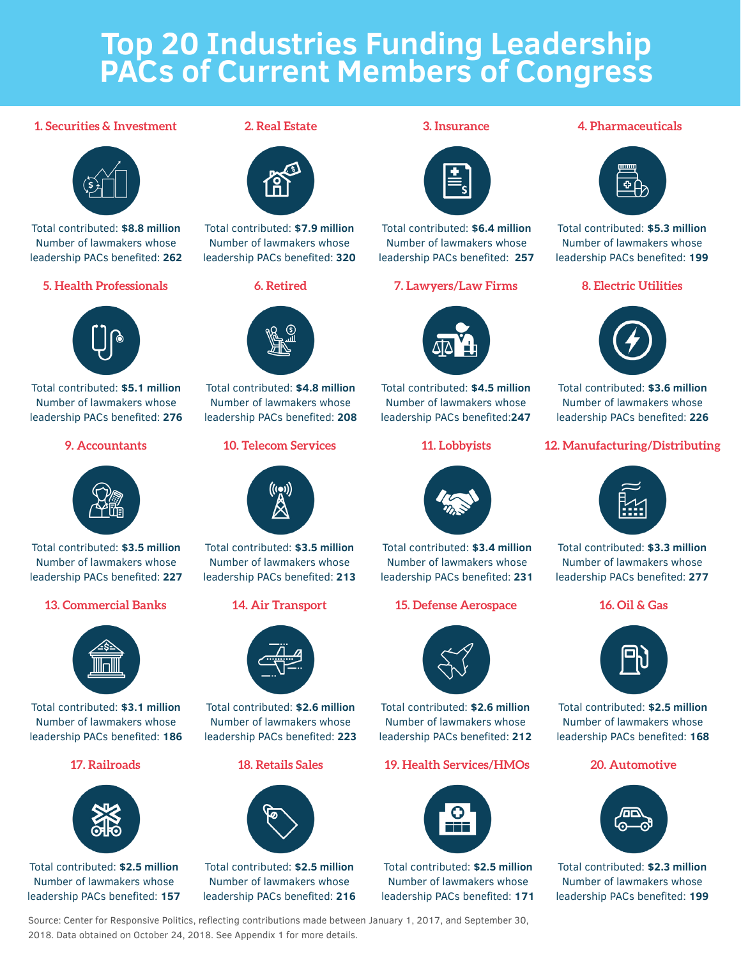# **Top 20 Industries Funding Leadership PACs of Current Members of Congress**

# **1. Securities & Investment 2. Real Estate 3. Insurance 4. Pharmaceuticals**



Total contributed: **\$8.8 million** Number of lawmakers whose leadership PACs benefited: **262**



Total contributed: **\$5.1 million** Number of lawmakers whose leadership PACs benefited: **276**



Total contributed: **\$3.5 million**  Number of lawmakers whose leadership PACs benefited: **227**



Total contributed: **\$3.1 million**  Number of lawmakers whose leadership PACs benefited: **186**



Total contributed: **\$2.5 million**  Number of lawmakers whose leadership PACs benefited: **157**





Total contributed: **\$7.9 million** Number of lawmakers whose leadership PACs benefited: **320**



Total contributed: **\$4.8 million**  Number of lawmakers whose leadership PACs benefited: **208**



Total contributed: **\$3.5 million**  Number of lawmakers whose leadership PACs benefited: **213**



Total contributed: **\$2.6 million**  Number of lawmakers whose leadership PACs benefited: **223**



Total contributed: **\$2.5 million**  Number of lawmakers whose leadership PACs benefited: **216**



Total contributed: **\$6.4 million** Number of lawmakers whose leadership PACs benefited: **257**

## **5. Health Professionals 6. Retired 7. Lawyers/Law Firms 8. Electric Utilities**



Total contributed: **\$4.5 million**  Number of lawmakers whose leadership PACs benefited:**247**



Total contributed: **\$3.4 million**  Number of lawmakers whose leadership PACs benefited: **231**

# **13. Commercial Banks 14. Air Transport 15. Defense Aerospace 16. Oil & Gas**



Total contributed: **\$2.6 million**  Number of lawmakers whose leadership PACs benefited: **212**

# **17. Railroads 18. Retails Sales 19. Health Services/HMOs 20. Automotive**



Total contributed: **\$2.5 million**  Number of lawmakers whose leadership PACs benefited: **171**



Total contributed: **\$5.3 million**  Number of lawmakers whose leadership PACs benefited: **199**



Total contributed: **\$3.6 million**  Number of lawmakers whose leadership PACs benefited: **226**

# **9. Accountants 10. Telecom Services 11. Lobbyists 12. Manufacturing/Distributing**



Total contributed: **\$3.3 million**  Number of lawmakers whose leadership PACs benefited: **277**



Total contributed: **\$2.5 million**  Number of lawmakers whose leadership PACs benefited: **168**



Total contributed: **\$2.3 million**  Number of lawmakers whose leadership PACs benefited: **199**

Source: Center for Responsive Politics, reflecting contributions made between January 1, 2017, and September 30, 2018. Data obtained on October 24, 2018. See Appendix 1 for more details.